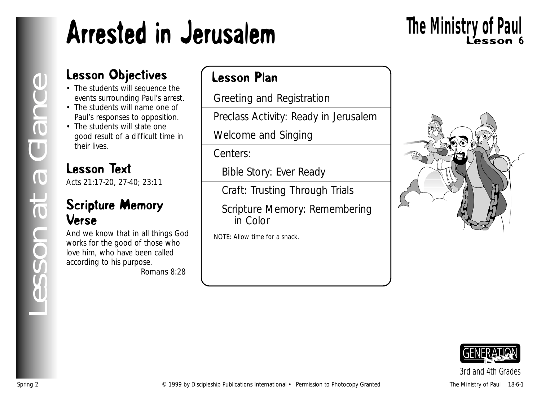# Arrested in Jerusalem

# Lesson 6 **The Ministry of Paul**

### Lesson Objectives

- The students will sequence the events surrounding Paul's arrest.
- The students will name one of Paul's responses to opposition.
- The students will state one good result of a difficult time in their lives.

## Lesson Text

Acts 21:17-20, 27-40; 23:11

### Scripture Memory Verse

And we know that in all things God works for the good of those who love him, who have been called according to his purpose.

*Romans 8:28*

### Lesson Plan

Greeting and Registration

Preclass Activity: Ready in Jerusalem

Welcome and Singing

Centers:

Bible Story: Ever Ready

Craft: Trusting Through Trials

Scripture Memory: Remembering in Color

NOTE: Allow time for a snack.





## *3rd and 4th Grades*

*Lesson at a Glance*

esson at a Glance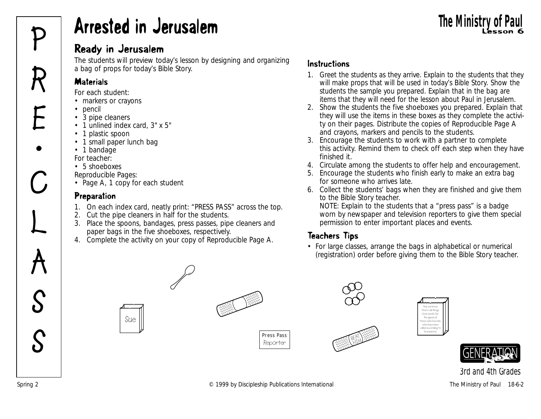## **Arrested in Jerusalem** Lesson 6 and 10 and 10 and 10 and 10 and 10 and 10 and 10 and 10 and 10 and 10 and 10 and 10 and 10 and 10 and 10 and 10 and 10 and 10 and 10 and 10 and 10 and 10 and 10 and 10 and 10 and 10 and 10 **P Arrested in Jerusalem**<br>Ready in Jerusalem<br>**P** Ready in Jerusalem

### Ready in Jerusalem

The students will preview today's lesson by designing and organizing a bag of props for today's Bible Story.

### **Materials**

*For each student:*

- markers or crayons
- pencil
- 3 pipe cleaners
- 1 unlined index card, 3" x 5"
- 1 plastic spoon
- 1 small paper lunch bag
- 1 bandage
- *For teacher:*
- 5 shoeboxes
- *Reproducible Pages:*
- Page A, 1 copy for each student

### **Preparation**

- 1. On each index card, neatly print: "PRESS PASS" across the top.
- 2. Cut the pipe cleaners in half for the students.
- 3. Place the spoons, bandages, press passes, pipe cleaners and paper bags in the five shoeboxes, respectively.
- 4. Complete the activity on your copy of Reproducible Page A.

### Instructions

- 1. Greet the students as they arrive. Explain to the students that they will make props that will be used in today's Bible Story. Show the students the sample you prepared. Explain that in the bag are items that they will need for the lesson about Paul in Jerusalem.
- 2. Show the students the five shoeboxes you prepared. Explain that they will use the items in these boxes as they complete the activity on their pages. Distribute the copies of Reproducible Page A and crayons, markers and pencils to the students.
- 3. Encourage the students to work with a partner to complete this activity. Remind them to check off each step when they have finished it.
- 4. Circulate among the students to offer help and encouragement.
- 5. Encourage the students who finish early to make an extra bag for someone who arrives late.
- 6. Collect the students' bags when they are finished and give them to the Bible Story teacher.

NOTE: Explain to the students that a "press pass" is a badge worn by newspaper and television reporters to give them special permission to enter important places and events.

### Teachers Tips

• For large classes, arrange the bags in alphabetical or numerical (registration) order before giving them to the Bible Story teacher.



Spring 2 **Example 2** C 1999 by Discipleship Publications International The Ministry of Paul 18-6-2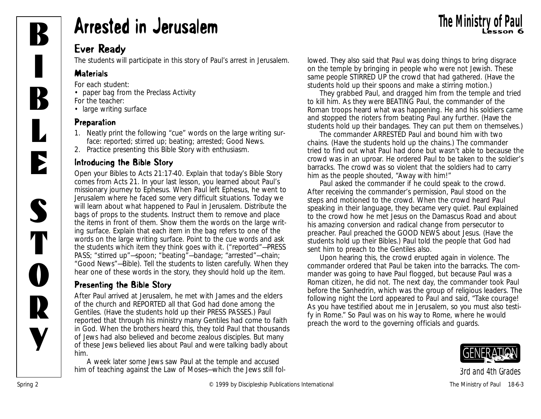

# **B** Arrested in Jerusalem The Ministry of Paul Exercise of Seconds

### Ever Ready

The students will participate in this story of Paul's arrest in Jerusalem.

### **Materials**

*For each student:*

- paper bag from the Preclass Activity *For the teacher:*
- large writing surface

### Preparation

- 1. Neatly print the following "cue" words on the large writing surface: reported; stirred up; beating; arrested; Good News.
- 2. Practice presenting this Bible Story with enthusiasm.

### Introducing the Bible Story

Open your Bibles to Acts 21:17-40. Explain that today's Bible Story comes from Acts 21. *In your last lesson, you learned about Paul's missionary journey to Ephesus. When Paul left Ephesus, he went to Jerusalem where he faced some very difficult situations. Today we will learn about what happened to Paul in Jerusalem.* Distribute the bags of props to the students. Instruct them to remove and place the items in front of them. Show them the words on the large writing surface. Explain that each item in the bag refers to one of the words on the large writing surface. Point to the cue words and ask the students which item they think goes with it. ("reported"—PRESS PASS; "stirred up"—spoon; "beating"—bandage; "arrested"—chain; "Good News"—Bible). Tell the students to listen carefully. When they hear one of these words in the story, they should hold up the item.

### Presenting the Bible Story

*After Paul arrived at Jerusalem, he met with James and the elders of the church and REPORTED all that God had done among the Gentiles.* (Have the students hold up their PRESS PASSES.) *Paul reported that through his ministry many Gentiles had come to faith in God. When the brothers heard this, they told Paul that thousands of Jews had also believed and become zealous disciples. But many of these Jews believed lies about Paul and were talking badly about him.*

*A week later some Jews saw Paul at the temple and accused him of teaching against the Law of Moses—which the Jews still fol-*

*lowed. They also said that Paul was doing things to bring disgrace on the temple by bringing in people who were not Jewish. These same people STIRRED UP the crowd that had gathered.* (Have the students hold up their spoons and make a stirring motion.)

*They grabbed Paul, and dragged him from the temple and tried to kill him. As they were BEATING Paul, the commander of the Roman troops heard what was happening. He and his soldiers came and stopped the rioters from beating Paul any further*. (Have the students hold up their bandages. They can put them on themselves.)

*The commander ARRESTED Paul and bound him with two chains.* (Have the students hold up the chains.) *The commander tried to find out what Paul had done but wasn't able to because the crowd was in an uproar. He ordered Paul to be taken to the soldier's barracks. The crowd was so violent that the soldiers had to carry him as the people shouted, "Away with him!"*

*Paul asked the commander if he could speak to the crowd. After receiving the commander's permission, Paul stood on the steps and motioned to the crowd. When the crowd heard Paul speaking in their language, they became very quiet. Paul explained to the crowd how he met Jesus on the Damascus Road and about his amazing conversion and radical change from persecutor to preacher. Paul preached the GOOD NEWS about Jesus*. (Have the students hold up their Bibles.) *Paul told the people that God had sent him to preach to the Gentiles also.* 

*Upon hearing this, the crowd erupted again in violence. The commander ordered that Paul be taken into the barracks. The commander was going to have Paul flogged, but because Paul was a Roman citizen, he did not. The next day, the commander took Paul before the Sanhedrin, which was the group of religious leaders. The following night the Lord appeared to Paul and said, "Take courage! As you have testified about me in Jerusalem, so you must also testify in Rome." So Paul was on his way to Rome, where he would preach the word to the governing officials and guards.* 

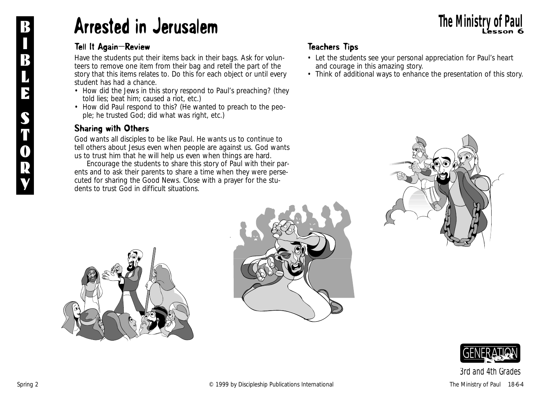## Arrested in Jerusalem Lesson 6 B **The Ministry of Paul**

#### Tell It Again—Review

Have the students put their items back in their bags. Ask for volunteers to remove one item from their bag and retell the part of the story that this items relates to. Do this for each object or until every student has had a chance.

- *How did the Jews in this story respond to Paul's preaching?* (they told lies; beat him; caused a riot, etc.)
- *How did Paul respond to this?* (He wanted to preach to the people; he trusted God; did what was right, etc.)

#### Sharing with Others

*God wants all disciples to be like Paul. He wants us to continue to tell others about Jesus even when people are against us. God wants us to trust him that he will help us even when things are hard*.

Encourage the students to share this story of Paul with their parents and to ask their parents to share a time when they were persecuted for sharing the Good News. Close with a prayer for the students to trust God in difficult situations.

### Teachers Tips

- Let the students see your personal appreciation for Paul's heart and courage in this amazing story.
- Think of additional ways to enhance the presentation of this story.







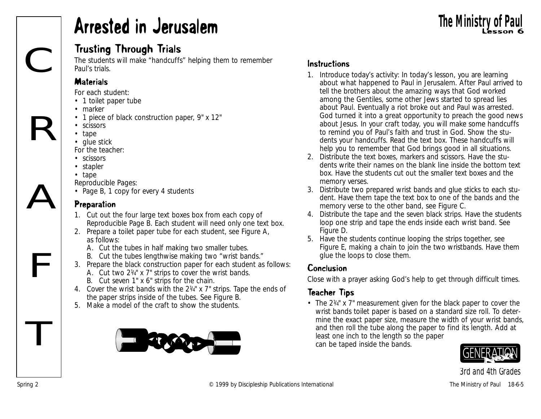## Arrested in Jerusalem

### Trusting Through Trials

The students will make "handcuffs" helping them to remember Paul's trials.

#### **Materials**

*For each student:*

- 1 toilet paper tube
- marker
- 1 piece of black construction paper, 9" x 12"
- scissors
- tape
- glue stick

*For the teacher:*

- scissors
- stapler
- tape
- *Reproducible Pages:*
- Page B, 1 copy for every 4 students

### Preparation

- 1. Cut out the four large text boxes box from each copy of Reproducible Page B. Each student will need only one text box.
- 2. Prepare a toilet paper tube for each student, see Figure A, as follows:
	- A. Cut the tubes in half making two smaller tubes.
	- B. Cut the tubes lengthwise making two "wrist bands."
- 3. Prepare the black construction paper for each student as follows: A. Cut two 21/4" x 7" strips to cover the wrist bands. B. Cut seven 1" x 6" strips for the chain.
- 4. Cover the wrist bands with the  $2\frac{1}{4}$  x  $7$ " strips. Tape the ends of the paper strips inside of the tubes. See Figure B.
- 5. Make a model of the craft to show the students.



### Instructions

- 1. Introduce today's activity: *In today's lesson, you are learning about what happened to Paul in Jerusalem. After Paul arrived to tell the brothers about the amazing ways that God worked among the Gentiles, some other Jews started to spread lies about Paul. Eventually a riot broke out and Paul was arrested. God turned it into a great opportunity to preach the good news about Jesus. In your craft today, you will make some handcuffs to remind you of Paul's faith and trust in God*. Show the students your handcuffs. Read the text box. *These handcuffs will help you to remember that God brings good in all situations.*
- 2. Distribute the text boxes, markers and scissors. Have the students write their names on the blank line inside the bottom text box. Have the students cut out the smaller text boxes and the memory verses.
- 3. Distribute two prepared wrist bands and glue sticks to each student. Have them tape the text box to one of the bands and the memory verse to the other band, see Figure C.
- 4. Distribute the tape and the seven black strips. Have the students loop one strip and tape the ends inside each wrist band. See Figure D.
- 5. Have the students continue looping the strips together, see Figure E, making a chain to join the two wristbands. Have them glue the loops to close them.

### Conclusion

Close with a prayer asking God's help to get through difficult times.

### Teacher Tips

• The  $2\frac{1}{4}$  x 7" measurement given for the black paper to cover the wrist bands toilet paper is based on a standard size roll. To determine the exact paper size, measure the width of your wrist bands, and then roll the tube along the paper to find its length. Add at least one inch to the length so the paper can be taped inside the bands.



*3rd and 4th Grades*

T

**The Ministry of Pa** 

F

R

C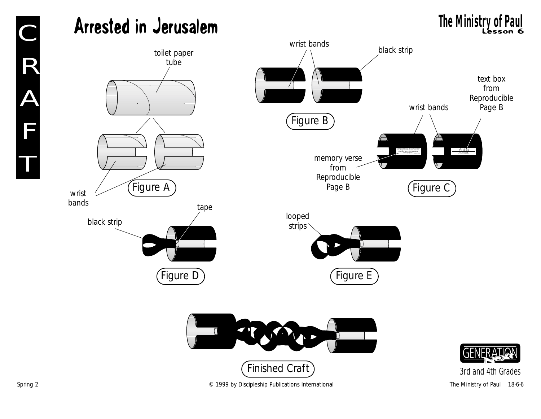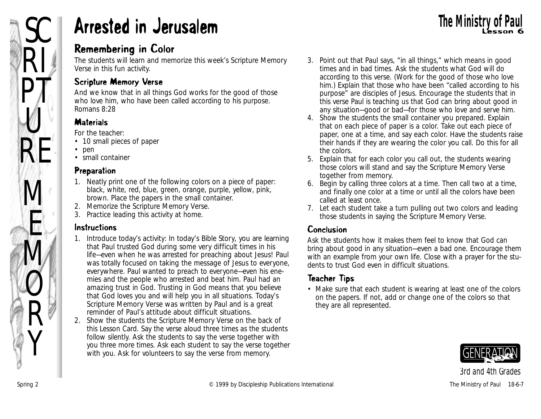## SC **Arrested in Jerusalem** The Ministry of Paul The Ministry of Paul

### Remembering in Color

The students will learn and memorize this week's Scripture Memory Verse in this fun activity.

### Scripture Memory Verse

And we know that in all things God works for the good of those who love him, who have been called according to his purpose. *Romans 8:28*

### **Materials**

*For the teacher:*

- 10 small pieces of paper
- pen
- small container

### Preparation

- 1. Neatly print one of the following colors on a piece of paper: black, white, red, blue, green, orange, purple, yellow, pink, brown. Place the papers in the small container.
- 2. Memorize the Scripture Memory Verse.
- 3. Practice leading this activity at home.

### Instructions

- 1. Introduce today's activity: *In today's Bible Story, you are learning that Paul trusted God during some very difficult times in his life—even when he was arrested for preaching about Jesus! Paul was totally focused on taking the message of Jesus to everyone, everywhere. Paul wanted to preach to everyone—even his enemies and the people who arrested and beat him. Paul had an amazing trust in God. Trusting in God means that you believe that God loves you and will help you in all situations. Today's Scripture Memory Verse was written by Paul and is a great reminder of Paul's attitude about difficult situations.*
- 2. Show the students the Scripture Memory Verse on the back of this Lesson Card. Say the verse aloud three times as the students follow silently. Ask the students to say the verse together with you three more times. Ask each student to say the verse together with you. Ask for volunteers to say the verse from memory.
- 3. Point out that Paul says, "in all things," which means in good times and in bad times. Ask the students what God will do according to this verse. (Work for the good of those who love him.) Explain that those who have been "called according to his purpose" are disciples of Jesus. Encourage the students that in this verse Paul is teaching us that God can bring about good in any situation—good or bad—for those who love and serve him.
- 4. Show the students the small container you prepared. Explain that on each piece of paper is a color. Take out each piece of paper, one at a time, and say each color. Have the students raise their hands if they are wearing the color you call. Do this for all the colors.
- 5. Explain that for each color you call out, the students wearing those colors will stand and say the Scripture Memory Verse together from memory.
- 6. Begin by calling three colors at a time. Then call two at a time, and finally one color at a time or until all the colors have been called at least once.
- 7. Let each student take a turn pulling out two colors and leading those students in saying the Scripture Memory Verse.

### Conclusion

Ask the students how it makes them feel to know that God can bring about good in any situation—even a bad one. Encourage them with an example from your own life. Close with a prayer for the students to trust God even in difficult situations.

### Teacher Tips

• Make sure that each student is wearing at least one of the colors on the papers. If not, add or change one of the colors so that they are all represented.

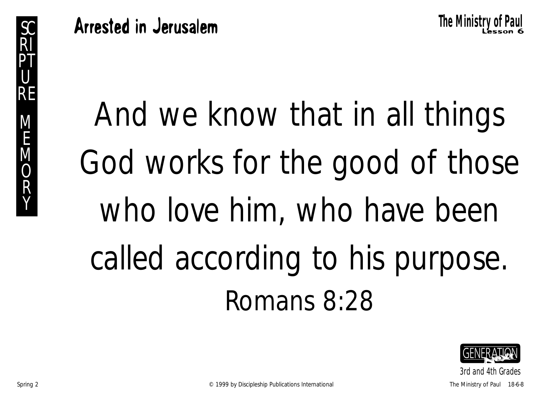And we know that in all things God works for the good of those who love him, who have been called according to his purpose. Romans 8:28

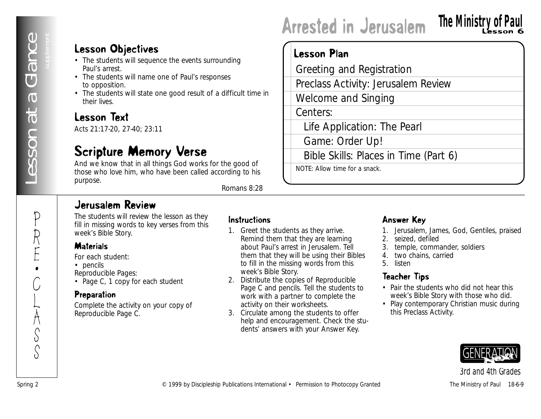P

R

E •

C

L

 $\sum_{i=1}^{n}$ S

S

### Lesson Objectives

- The students will sequence the events surrounding Paul's arrest.
- The students will name one of Paul's responses to opposition.
- The students will state one good result of a difficult time in their lives.

### Lesson Text

Acts 21:17-20, 27-40; 23:11

### Scripture Memory Verse

And we know that in all things God works for the good of those who love him, who have been called according to his purpose.

*Romans 8:28*

### Jerusalem Review

The students will review the lesson as they fill in missing words to key verses from this week's Bible Story.

#### **Materials**

*For each student:*

- pencils
- *Reproducible Pages:*
- Page C, 1 copy for each student

### **Preparation**

Complete the activity on your copy of Reproducible Page C.

#### Instructions

- **Exam Objectives**<br>
Creating and Registration<br>
This andmost means of euclidear publications International effections International Ferminanties International Ferminanties International Ferminanties International Ferminantie 1. Greet the students as they arrive. Remind them that they are learning about Paul's arrest in Jerusalem. Tell them that they will be using their Bibles to fill in the missing words from this week's Bible Story.
	- 2. Distribute the copies of Reproducible Page C and pencils. Tell the students to work with a partner to complete the activity on their worksheets.
	- 3. Circulate among the students to offer help and encouragement. Check the students' answers with your Answer Key.

### Answer Key

Arrested in Jerusalem

Greeting and Registration

Welcome and Singing

Game: Order Up!

NOTE: Allow time for a snack.

Preclass Activity: Jerusalem Review

Bible Skills: Places in Time (Part 6)

Life Application: The Pearl

Lesson Plan

Centers:

1. Jerusalem, James, God, Gentiles, praised

**The Ministry of Paul**

- 2. seized, defiled
- 3. temple, commander, soldiers
- 4. two chains, carried
- 5. listen

### Teacher Tips

- Pair the students who did not hear this week's Bible Story with those who did.
- Play contemporary Christian music during this Preclass Activity.

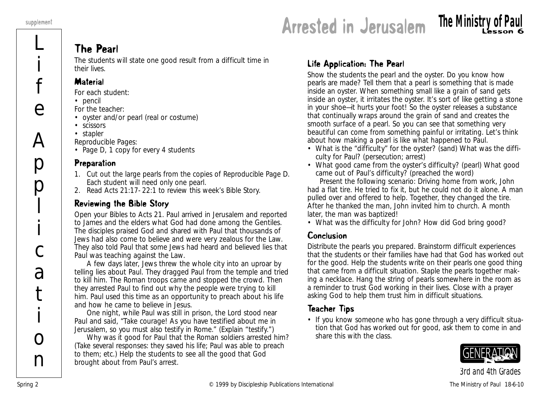L

i

f

e

 $\bm{\mathsf{A}}$ 

p

p

l

i

c

a

t

i

 $\Omega$ 

n

## **Arrested in Jerusalem The Ministry of Paul**

### The Pearl

The students will state one good result from a difficult time in their lives.

#### **Material**

*For each student:*

- pencil
- *For the teacher:*
- oyster and/or pearl (real or costume)
- scissors
- stapler

*Reproducible Pages:*

• Page D, 1 copy for every 4 students

#### Preparation

- 1. Cut out the large pearls from the copies of Reproducible Page D. Each student will need only one pearl.
- 2. Read Acts 21:17- 22:1 to review this week's Bible Story.

### Reviewing the Bible Story

Open your Bibles to Acts 21*. Paul arrived in Jerusalem and reported to James and the elders what God had done among the Gentiles. The disciples praised God and shared with Paul that thousands of Jews had also come to believe and were very zealous for the Law. They also told Paul that some Jews had heard and believed lies that Paul was teaching against the Law.* 

*A few days later, Jews threw the whole city into an uproar by telling lies about Paul. They dragged Paul from the temple and tried to kill him. The Roman troops came and stopped the crowd. Then they arrested Paul to find out why the people were trying to kill him. Paul used this time as an opportunity to preach about his life and how he came to believe in Jesus.* 

*One night, while Paul was still in prison, the Lord stood near Paul and said, "Take courage! As you have testified about me in Jerusalem, so you must also testify in Rome*." (Explain "testify.")

*Why was it good for Paul that the Roman soldiers arrested him*? (Take several responses: they saved his life; Paul was able to preach to them; etc.) Help the students to see all the good that God brought about from Paul's arrest.

### Life Application: The Pearl

Show the students the pearl and the oyster. *Do you know how pearls are made?* Tell them that a pearl is something that is made inside an oyster. *When something small like a grain of sand gets inside an oyster, it irritates the oyster. It's sort of like getting a stone in your shoe—it hurts your foot! So the oyster releases a substance that continually wraps around the grain of sand and creates the smooth surface of a pearl. So you can see that something very beautiful can come from something painful or irritating. Let's think about how making a pearl is like what happened to Paul.*

- *What is the "difficulty" for the oyster?* (sand) *What was the difficulty for Paul?* (persecution; arrest)
- *What good came from the oyster's difficulty?* (pearl) *What good came out of Paul's difficulty?* (preached the word)

Present the following scenario: *Driving home from work, John had a flat tire. He tried to fix it, but he could not do it alone. A man pulled over and offered to help. Together, they changed the tire. After he thanked the man, John invited him to church. A month later, the man was baptized!*

• *What was the difficulty for John? How did God bring good?*

### Conclusion

Distribute the pearls you prepared. Brainstorm difficult experiences that the students or their families have had that God has worked out for the good. Help the students write on their pearls one good thing that came from a difficult situation. Staple the pearls together making a necklace. Hang the string of pearls somewhere in the room as a reminder to trust God working in their lives. Close with a prayer asking God to help them trust him in difficult situations.

### Teacher Tips

• If you know someone who has gone through a very difficult situation that God has worked out for good, ask them to come in and share this with the class.

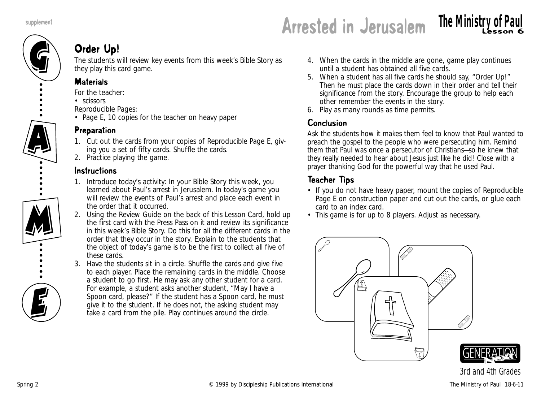

## supplement **Arrested in Jerusalem The Ministry of Paul**

### Order Up!

The students will review key events from this week's Bible Story as they play this card game.

### **Materials**

- *For the teacher:*
- scissors
- *Reproducible Pages:*
- Page E, 10 copies for the teacher on heavy paper

### Preparation

- 1. Cut out the cards from your copies of Reproducible Page E, giving you a set of fifty cards. Shuffle the cards.
- 2. Practice playing the game.

### Instructions

- 1. Introduce today's activity: *In your Bible Story this week, you learned about Paul's arrest in Jerusalem. In today's game you will review the events of Paul's arrest and place each event in the order that it occurred.*
- 2. Using the Review Guide on the back of this Lesson Card, hold up the first card with the Press Pass on it and review its significance in this week's Bible Story. Do this for all the different cards in the order that they occur in the story. Explain to the students that the object of today's game is to be the first to collect all five of these cards.
- 3. Have the students sit in a circle. Shuffle the cards and give five to each player. Place the remaining cards in the middle. Choose a student to go first. He may ask any other student for a card. For example, a student asks another student, "May I have a Spoon card, please?" If the student has a Spoon card, he must give it to the student. If he does not, the asking student may take a card from the pile. Play continues around the circle.
- 4. When the cards in the middle are gone, game play continues until a student has obtained all five cards.
- 5. When a student has all five cards he should say, "Order Up!" Then he must place the cards down in their order and tell their significance from the story. Encourage the group to help each other remember the events in the story.
- 6. Play as many rounds as time permits.

### Conclusion

Ask the students how it makes them feel to know that Paul wanted to preach the gospel to the people who were persecuting him. Remind them that Paul was once a persecutor of Christians—so he knew that they really needed to hear about Jesus just like he did! Close with a prayer thanking God for the powerful way that he used Paul.

### Teacher Tips

- If you do not have heavy paper, mount the copies of Reproducible Page E on construction paper and cut out the cards, or glue each card to an index card.
- This game is for up to 8 players. Adjust as necessary.

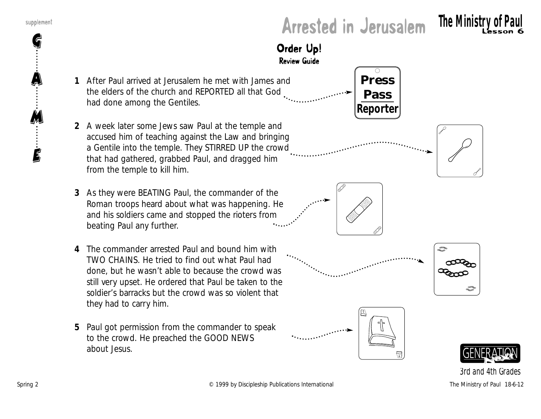G

A

M

E

## supplement<br>**Arrested in Jerusalem The Ministry of Paul**





- **1** *After Paul arrived at Jerusalem he met with James and the elders of the church and REPORTED all that God had done among the Gentiles.*
- **2** *A week later some Jews saw Paul at the temple and accused him of teaching against the Law and bringing a Gentile into the temple. They STIRRED UP the crowd that had gathered, grabbed Paul, and dragged him from the temple to kill him.*
- **3** *As they were BEATING Paul, the commander of the Roman troops heard about what was happening. He and his soldiers came and stopped the rioters from beating Paul any further.*
- **4** *The commander arrested Paul and bound him with TWO CHAINS. He tried to find out what Paul had done, but he wasn't able to because the crowd was still very upset. He ordered that Paul be taken to the soldier's barracks but the crowd was so violent that they had to carry him.*
- **5** *Paul got permission from the commander to speak to the crowd. He preached the GOOD NEWS about Jesus.*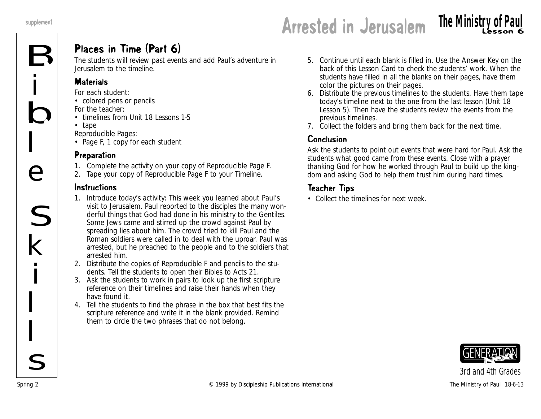i

 $\frac{1}{\mathsf{B}}$ 

 $\overline{L}$ 

e

S

k

i

 $\overline{L}$ 

 $\overline{L}$ 

 $\overline{\mathcal{L}}$ 

### Places in Time (Part 6)

The students will review past events and add Paul's adventure in Jerusalem to the timeline.

### **Materials**

*For each student:*

• colored pens or pencils

*For the teacher:*

- timelines from Unit 18 Lessons 1-5
- tape

*Reproducible Pages:*

• Page F, 1 copy for each student

### Preparation

- 1. Complete the activity on your copy of Reproducible Page F.
- 2. Tape your copy of Reproducible Page F to your Timeline.

### Instructions

- 1. Introduce today's activity: *This week you learned about Paul's visit to Jerusalem. Paul reported to the disciples the many wonderful things that God had done in his ministry to the Gentiles. Some Jews came and stirred up the crowd against Paul by spreading lies about him. The crowd tried to kill Paul and the Roman soldiers were called in to deal with the uproar. Paul was arrested, but he preached to the people and to the soldiers that arrested him.*
- 2. Distribute the copies of Reproducible F and pencils to the students. Tell the students to open their Bibles to Acts 21.
- 3. Ask the students to work in pairs to look up the first scripture reference on their timelines and raise their hands when they have found it.
- 4. Tell the students to find the phrase in the box that best fits the scripture reference and write it in the blank provided. Remind them to circle the two phrases that do not belong.
- 5. Continue until each blank is filled in. Use the Answer Key on the back of this Lesson Card to check the students' work. When the students have filled in all the blanks on their pages, have them color the pictures on their pages.
- 6. Distribute the previous timelines to the students. Have them tape today's timeline next to the one from the last lesson (Unit 18 Lesson 5). Then have the students review the events from the previous timelines.
- 7. Collect the folders and bring them back for the next time.

### Conclusion

Ask the students to point out events that were hard for Paul. Ask the students what good came from these events. Close with a prayer thanking God for how he worked through Paul to build up the kingdom and asking God to help them trust him during hard times.

### Teacher Tips

• Collect the timelines for next week.

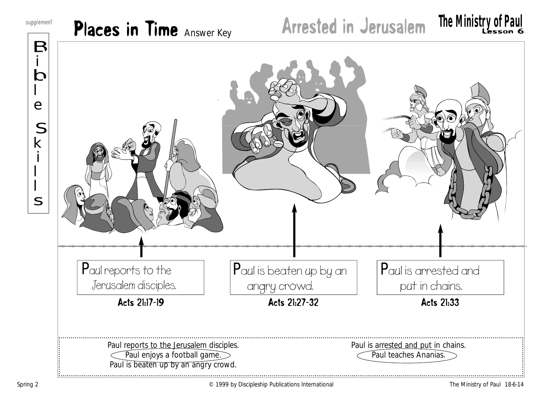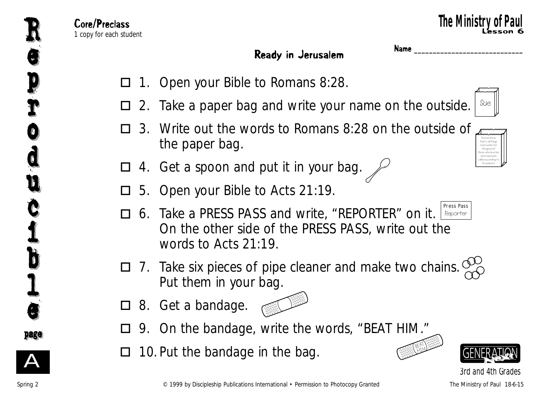And we know that in all things God works for the good of those who love him, who have been called according to his purpose.

### Ready in Jerusalem **Name**

- 1. Open your Bible to Romans 8:28.  $\Box$
- 2. Take a paper bag and write your name on the outside.  $\Box$ Sue
- 3. Write out the words to Romans 8:28 on the outside of the paper bag.  $\Box$
- 4. Get a spoon and put it in your bag.  $\mathcal{L}$  $\Box$
- 5. Open your Bible to Acts 21:19.  $\Box$
- 6. Take a PRESS PASS and write, "REPORTER" on it. LReporter On the other side of the PRESS PASS, write out the words to Acts 21:19.  $\Box$ Press Pass
- 7. Take six pieces of pipe cleaner and make two chains. Put them in your bag.  $\Box$
- □ 8. Get a bandage.



- 9. On the bandage, write the words, "BEAT HIM."  $\Box$
- 10. Put the bandage in the bag.  $\Box$





A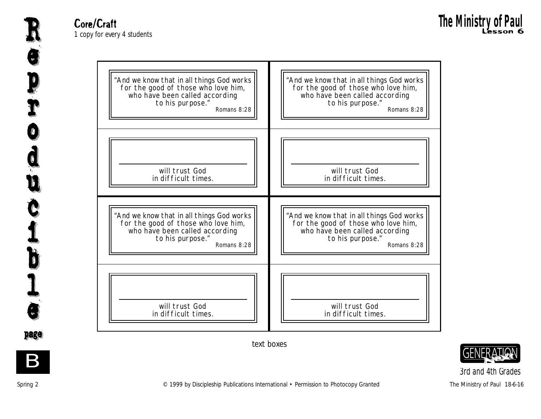"And we know that in all things God works for the good of those who love him, who have been called according to his purpose." Romans 8:28 will trust God in difficult times. "And we know that in all things God works for the good of those who love him, who have been called according to his purpose." Romans 8:28 will trust God in difficult times. "And we know that in all things God works for the good of those who love him, who have been called according to his purpose." Romans 8:28 will trust God in difficult times. "And we know that in all things God works for the good of those who love him, who have been called according to his purpose." Romans 8:28 will trust God in difficult times.

*3rd and 4th Grades*



text boxes

e

e

R

p p

r

r

o

o

d

d

u

u

c

Č

i

i

b

b

 $\mathbf I$ 

l

e

e

page page

B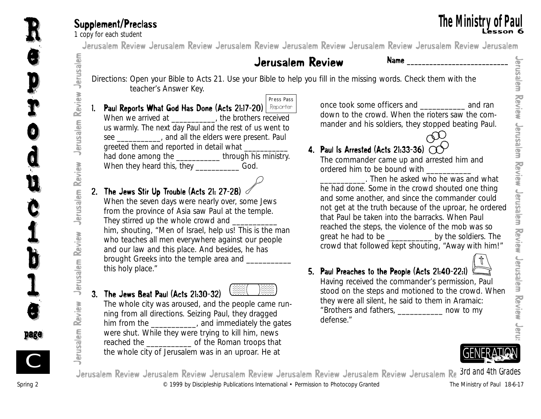**10 Supplement/Preclass**<br>1 copy for each student<br>1 **arusalem Review Jerusalem Review Jerusalem Review Jerusalem Review Jerusalem Review Jerusalem Review Jerusalem** Jerusalem Review Jerusalem Review Jerusalem Review Jerusalem Review Jerusalem Review Jerusalem Review Jerusalem

### Jerusalem Review Name **\_\_\_\_\_\_\_\_\_\_\_\_\_\_\_\_\_\_\_\_\_\_\_\_\_\_\_**

- Directions: Open your Bible to Acts 21. Use your Bible to help you fill in the missing words. Check them with the teacher's Answer Key.
- 1. Paul Reports What God Has Done (Acts 21:17-20) <u>| Reporter</u> When we arrived at \_\_\_\_\_\_\_\_\_\_, the brothers received us warmly. The next day Paul and the rest of us went to see \_\_\_\_\_\_\_\_\_\_, and all the elders were present. Paul greeted them and reported in detail what \_\_\_\_\_\_\_\_\_\_\_ had done among the \_\_\_\_\_\_\_\_\_\_\_\_\_ through his ministry. When they heard this, they \_\_\_\_\_\_\_\_\_\_\_\_\_\_God. Press Pass

### 2. The Jews Stir Up Trouble (Acts 21: 27-28)

When the seven days were nearly over, some Jews from the province of Asia saw Paul at the temple. They stirred up the whole crowd and \_\_\_\_\_\_\_\_\_\_\_ him, shouting, "Men of Israel, help us! This is the man who teaches all men everywhere against our people and our law and this place. And besides, he has brought Greeks into the temple area and \_\_\_\_\_\_\_\_\_\_\_ this holy place."

### 3. The Jews Beat Paul (Acts 21:30-32)

The whole city was aroused, and the people came running from all directions. Seizing Paul, they dragged him from the \_\_\_\_\_\_\_\_\_\_, and immediately the gates were shut. While they were trying to kill him, news reached the \_\_\_\_\_\_\_\_\_\_\_ of the Roman troops that the whole city of Jerusalem was in an uproar. He at

once took some officers and \_\_\_\_\_\_\_\_\_\_\_ and ran down to the crowd. When the rioters saw the commander and his soldiers, they stopped beating Paul.



### 4. Paul Is Arrested (Acts 21:33-36)  $\alpha$

The commander came up and arrested him and ordered him to be bound with

\_\_\_\_\_\_\_\_\_\_\_. Then he asked who he was and what he had done. Some in the crowd shouted one thing and some another, and since the commander could not get at the truth because of the uproar, he ordered that Paul be taken into the barracks. When Paul reached the steps, the violence of the mob was so great he had to be \_\_\_\_\_\_\_\_\_\_\_ by the soldiers. The crowd that followed kept shouting, "Away with him!"

### 5. Paul Preaches to the People (Acts 21:40-22:1)

Having received the commander's permission, Paul stood on the steps and motioned to the crowd. When they were all silent, he said to them in Aramaic: "Brothers and fathers, \_\_\_\_\_\_\_\_\_\_\_ now to my defense."



Spring 2 © 1999 by Discipleship Publications International • Permission to Photocopy Granted The Ministry of Paul 18-6-17 Jerusalem Review Jerusalem Review Jerusalem Review Jerusalem Review Jerusalem Review Jerusalem Re *3rd and 4th Grades* 

Jerusalem

e

e

R

p

p

r

r

o

o

d

d

u

u

c

Č

i

i

b

b

 $\mathbf I$ 

l

e

e

page page

C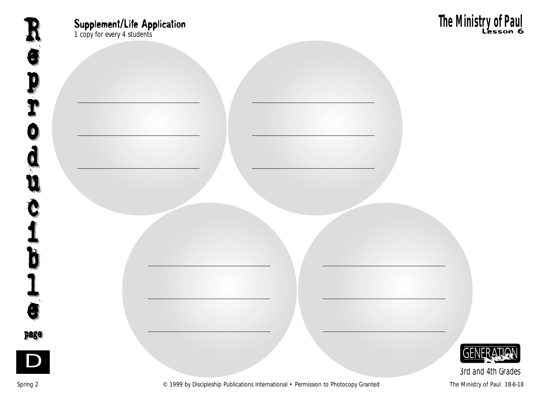Supplement/Life Application<br>
1 copy for every 4 students **Lesson 6**<br>
1 copy for every 4 students



*3rd and 4th Grades*

Spring 2 **Example 2** C 1999 by Discipleship Publications International • Permission to Photocopy Granted The Ministry of Paul 18-6-18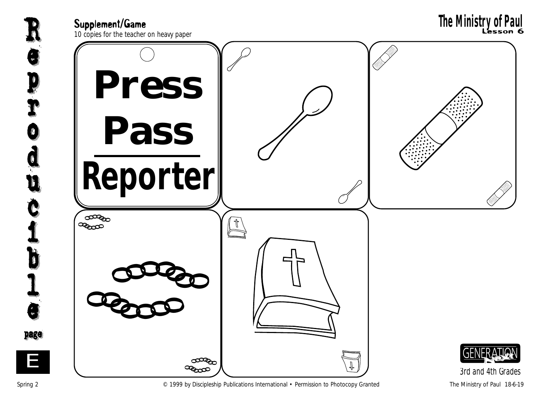

Spring 2 **Example 2** C 1999 by Discipleship Publications International • Permission to Photocopy Granted The Ministry of Paul 18-6-19